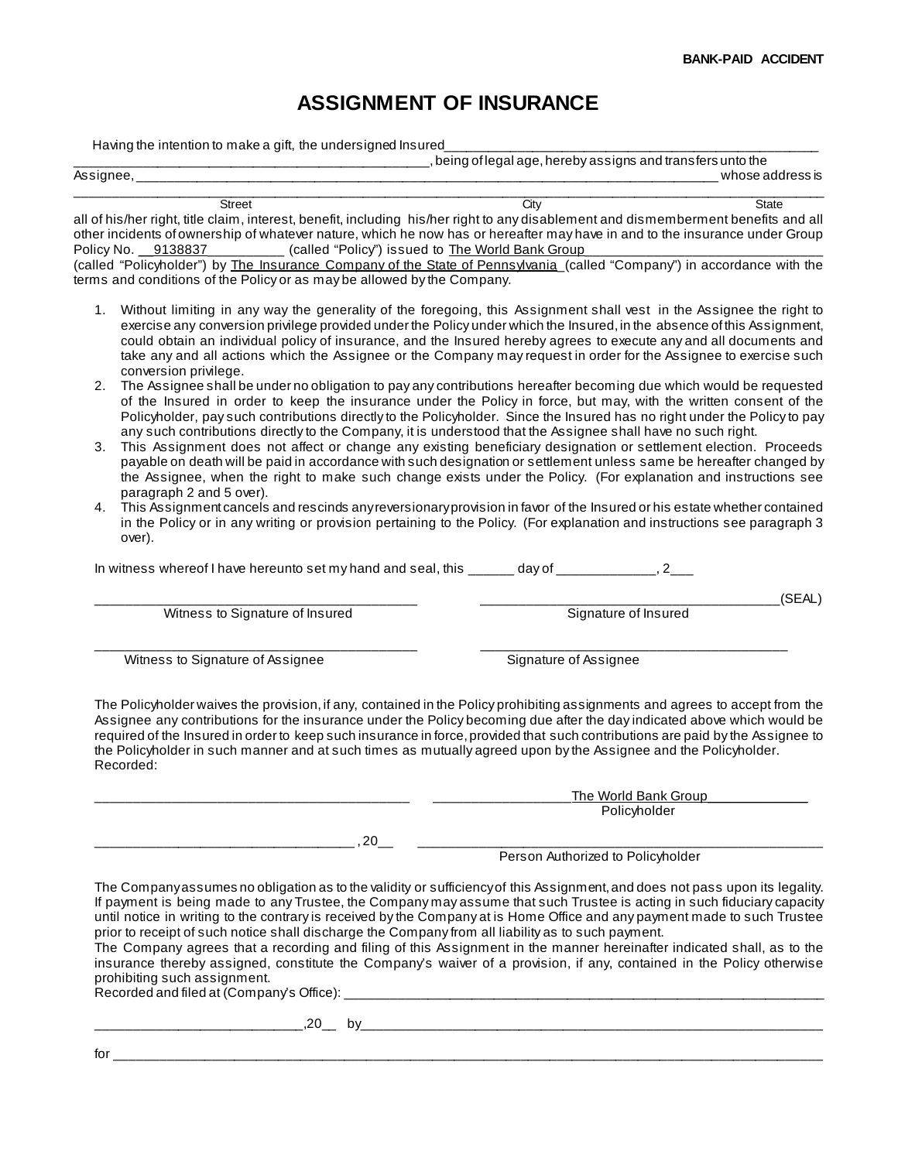## **ASSIGNMENT OF INSURANCE**

Having the intention to make a gift, the undersigned Insured

|           |        |                                                                                                                                                                                                                                | , being of legal age, hereby assigns and transfers unto the |  |  |
|-----------|--------|--------------------------------------------------------------------------------------------------------------------------------------------------------------------------------------------------------------------------------|-------------------------------------------------------------|--|--|
| Assignee, |        |                                                                                                                                                                                                                                | whose address is                                            |  |  |
|           | Street | `\t                                                                                                                                                                                                                            | State                                                       |  |  |
|           |        | to the film of the state of the character is a sufficiently as integrated to a state of the second alternation and construction of the second officers of the second officers of the second officers of the second officers of |                                                             |  |  |

all of his/her right, title claim, interest, benefit, including his/her right to any disablement and dismemberment benefits and all other incidents of ownership of whatever nature, which he now has or hereafter may have in and to the insurance under Group Policy No. \_\_9138837\_\_\_\_\_\_\_\_\_\_\_\_ (called "Policy") issued to The World Bank Group

(called "Policyholder") by The Insurance Company of the State of Pennsylvania (called "Company") in accordance with the terms and conditions of the Policy or as may be allowed by the Company.

- 1. Without limiting in any way the generality of the foregoing, this Assignment shall vest in the Assignee the right to exercise any conversion privilege provided under the Policy under which the Insured, in the absence of this Assignment, could obtain an individual policy of insurance, and the Insured hereby agrees to execute any and all documents and take any and all actions which the Assignee or the Company may request in order for the Assignee to exercise such conversion privilege.
- 2. The Assignee shall be under no obligation to pay any contributions hereafter becoming due which would be requested of the Insured in order to keep the insurance under the Policy in force, but may, with the written consent of the Policyholder, pay such contributions directly to the Policyholder. Since the Insured has no right under the Policy to pay any such contributions directly to the Company, it is understood that the Assignee shall have no such right.
- 3. This Assignment does not affect or change any existing beneficiary designation or settlement election. Proceeds payable on death will be paid in accordance with such designation or settlement unless same be hereafter changed by the Assignee, when the right to make such change exists under the Policy. (For explanation and instructions see paragraph 2 and 5 over).
- 4. This Assignment cancels and rescinds any reversionary provision in favor of the Insured or his estate whether contained in the Policy or in any writing or provision pertaining to the Policy. (For explanation and instructions see paragraph 3 over).

In witness whereof I have hereunto set my hand and seal, this  $\frac{1}{2}$  day of  $\frac{1}{2}$ , 2

\_\_\_\_\_\_\_\_\_\_\_\_\_\_\_\_\_\_\_\_\_\_\_\_\_\_\_\_\_\_\_\_\_\_\_\_\_\_\_\_\_\_ \_\_\_\_\_\_\_\_\_\_\_\_\_\_\_\_\_\_\_\_\_\_\_\_\_\_\_\_\_\_\_\_\_\_\_\_\_\_\_(SEAL) Witness to Signature of Insured Signature of Insured

\_\_\_\_\_\_\_\_\_\_\_\_\_\_\_\_\_\_\_\_\_\_\_\_\_\_\_\_\_\_\_\_\_\_\_\_\_\_\_\_\_\_ \_\_\_\_\_\_\_\_\_\_\_\_\_\_\_\_\_\_\_\_\_\_\_\_\_\_\_\_\_\_\_\_\_\_\_\_\_\_\_\_ Witness to Signature of Assignee Signature of Assignee

The Policyholder waives the provision, if any, contained in the Policy prohibiting assignments and agrees to accept from the Assignee any contributions for the insurance under the Policy becoming due after the day indicated above which would be required of the Insured in order to keep such insurance in force, provided that such contributions are paid by the Assignee to the Policyholder in such manner and at such times as mutually agreed upon by the Assignee and the Policyholder. Recorded:

|                                                                                                                                                                                     | The World Bank Group                                                                                                                                                                                                                                                                                                                                                                                                                                                                                                                                                                                                                  |
|-------------------------------------------------------------------------------------------------------------------------------------------------------------------------------------|---------------------------------------------------------------------------------------------------------------------------------------------------------------------------------------------------------------------------------------------------------------------------------------------------------------------------------------------------------------------------------------------------------------------------------------------------------------------------------------------------------------------------------------------------------------------------------------------------------------------------------------|
|                                                                                                                                                                                     | Policyholder                                                                                                                                                                                                                                                                                                                                                                                                                                                                                                                                                                                                                          |
| . 20                                                                                                                                                                                |                                                                                                                                                                                                                                                                                                                                                                                                                                                                                                                                                                                                                                       |
|                                                                                                                                                                                     | Person Authorized to Policyholder                                                                                                                                                                                                                                                                                                                                                                                                                                                                                                                                                                                                     |
| prior to receipt of such notice shall discharge the Company from all liability as to such payment.<br>prohibiting such assignment.<br>Recorded and filed at (Company's Office): ___ | The Companyassumes no obligation as to the validity or sufficiency of this Assignment, and does not pass upon its legality.<br>If payment is being made to any Trustee, the Company may assume that such Trustee is acting in such fiduciary capacity<br>until notice in writing to the contrary is received by the Company at is Home Office and any payment made to such Trustee<br>The Company agrees that a recording and filing of this Assignment in the manner hereinafter indicated shall, as to the<br>insurance thereby assigned, constitute the Company's waiver of a provision, if any, contained in the Policy otherwise |

\_\_\_\_\_\_\_\_\_\_\_\_\_\_\_\_\_\_\_\_\_\_\_\_\_\_\_\_,20\_\_ by\_\_\_\_\_\_\_\_\_\_\_\_\_\_\_\_\_\_\_\_\_\_\_\_\_\_\_\_\_\_\_\_\_\_\_\_\_\_\_\_\_\_\_\_\_\_\_\_\_\_\_\_\_\_\_\_\_\_\_\_\_

for \_\_\_\_\_\_\_\_\_\_\_\_\_\_\_\_\_\_\_\_\_\_\_\_\_\_\_\_\_\_\_\_\_\_\_\_\_\_\_\_\_\_\_\_\_\_\_\_\_\_\_\_\_\_\_\_\_\_\_\_\_\_\_\_\_\_\_\_\_\_\_\_\_\_\_\_\_\_\_\_\_\_\_\_\_\_\_\_\_\_\_\_\_\_\_\_